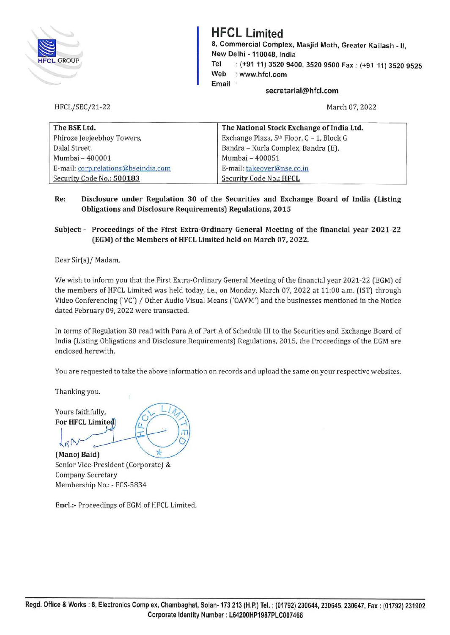

# **HFCL Limited**

**8, Commercial Complex, Masjid Moth, Greater Kailash** - II, **New Delhi** - **110048, India Tel** : **(+91 11) 3520 9400, 3520 9500 Fax** : **(+91 11) 3520 9525 Web** : **www.hfcl.com Email** 

**secretarial@hfcl.com** 

March 07, 2022

| The BSE Ltd.<br>The National Stock Exchange of India Ltd. |                                           |  |
|-----------------------------------------------------------|-------------------------------------------|--|
| Phiroze Jeejeebhoy Towers,                                | Exchange Plaza, 5th Floor, C - 1, Block G |  |
| Dalal Street,                                             | Bandra - Kurla Complex, Bandra (E),       |  |
| Mumbai - 400001                                           | Mumbai - 400051                           |  |
| E-mail: corp.relations@bseindia.com                       | E-mail: takeover@nse.co.in                |  |
| Security Code No.: 500183                                 | Security Code No.: HFCL                   |  |

**Re: Disclosure under Regulation 30 of the Securities and Exchange Board of India (Listing Obligations and Disclosure Requirements) Regulations, 2015** 

# **Subject:** - **Proceedings of the First Extra-Ordinary General Meeting of the financial year 2021-22 (EGM) of the Members ofHFCL Limited held on March 07, 2022.**

Dear Sir(s)/ Madam,

HFCL/SEC/21-22

We wish to inform you that the First Extra-Ordinary General Meeting of the financial year 2021-22 (EGM) of the members of HFCL Limited was held today, i.e., on Monday, March 07, 2022 at 11:00 a.m. (1ST) through Video Conferencing ('VC') / Other Audio Visual Means ('OAVM') and the businesses mentioned in the Notice dated February 09, 2022 were transacted.

In terms of Regulation 30 read with Para A of Part A of Schedule Ill to the Securities and Exchange Board of India (Listing Obligations and Disclosure Requirements) Regulations, 2015, the Proceedings of the EGM are enclosed herewith.

You are requested to take the *above* information on records and upload the same on your respective websites.

Thanking you.

Yours faithfully, For HFCL Limited

 $40.1$ 

(Manoj Baid)

Senior Vice-President (Corporate) & Company Secretary Membership No.: - FCS-5834

Encl.:- Proceedings of EGM of HFCL Limited.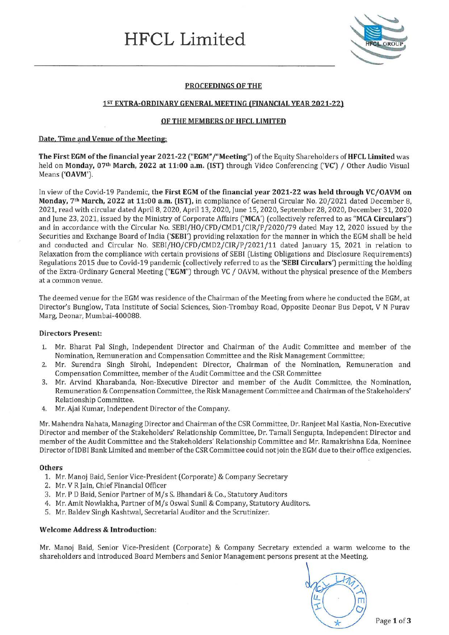# **HFCL Limited**



# **PROCEEDINGS OF THE**

#### 15T **EXTRA-ORDINARY GENERAL MEETING (FINANCIAL YEAR 2021-22)**

#### **OF THE MEMBERS OF HFCL LIMITED**

#### **Date, Time and Venue of the Meeting:**

**The First EGM of the financial year 2021-22 ("EGM" /"Meeting")** of the Equity Shareholders of **HFCL Limited** was held on **Monday, 07th March, 2022 at 11:00 a.m. (1ST)** through Video Conferencing **('VC')** / Other Audio Visual Means **('OAVM').** 

In view of the Covid-19 Pandemic, **the First EGM of the financial year 2021-22 was held through VC/OAVM on Monday, 7th March, 2022 at 11:00 a.m. (1ST),** in compliance of General Circular No. 20/2021 dated December 8, 2021, read with circular dated April 8, 2020, April 13, 2020, June 15, 2020, September 28, 2020, December 31, 2020 and June 23, 2021, issued by the Ministry of Corporate Affairs **('MCA')** ( collectively referred to as **"MCA Circulars")**  and in accordance with the 'Circular No. SEBI/HO/CFD/CMD1/CIR/P /2020/79 dated May 12, 2020 issued by the Securities and Exchange Board of India **('SEBI')** providing relaxation for the manner in which the EGM shall be held and conducted and Circular No. SEBI/HO/CFD/CMD2/CIR/P/2021/11 dated January 15, 2021 in relation to Relaxation from the compliance with certain provisions of SEBI (Listing Obligations and Disclosure Requirements) Regulations 2015 due to Covid-19 pandemic (collectively referred to as the **'SEBI Circulars')** permitting the holding of the Extra-Ordinary General Meeting **("EGM")** through VC / OAVM, without the physical presence of the Members at a common venue.

The deemed venue for the EGM was residence of the Chairman of the Meeting from where he conducted the EGM, at Director's Bunglow, Tata Institute of Social Sciences, Sion-Trombay Road, Opposite Deonar Bus Depot, V N Purav Marg, Deonar, Mumbai-400088.

#### **Directors Present:**

- 1. Mr. Bharat Pal Singh, Independent Director and Chairman of the Audit Committee and member of the Nomination, Remuneration and Compensation Committee and the Risk Management Committee;
- 2. Mr. Surendra Singh Sirohi, Independent Director, Chairman of the Nomination, Remuneration and Compensation Committee, member of the Audit Committee and the CSR Committee
- 3. Mr. Arvind Kharabanda, Non-Executive Director and member of the Audit Committee, the Nomination, Remuneration & Compensation Committee, the Risk Management Committee and Chairman of the Stakeholders' Relationship Committee.
- 4. Mr. Ajai Kumar, Independent Director of the Company.

Mr. Mahendra Nahata, Managing Director and Chairman of the CSR Committee, Dr. Ranjeet Mal Kastia, Non-Executive Director and member of the Stakeholders' Relationship Committee, Dr. Tamali Sengupta, Independent Director and member of the Audit Committee and the Stakeholders' Relationship Committee and Mr. Ramakrishna Eda, Nominee Director of IDBI Bank Limited and member of the CSR Committee could not join the EGM due to their office exigencies.

#### **Others**

- 1. Mr. Manoj Baid, Senior Vice-President (Corporate) & Company Secretary
- 2. Mr. V R Jain, Chief Financial Officer
- 3. Mr.PD Baid, Senior Partner of M/s S. Bhandari & Co., Statutory Auditors
- 4. Mr. Amit Nowlakha, Partner of M/s Oswal Sunil & Company, Statutory Auditors.
- 5. Mr. Baldev Singh Kashtwal, Secretarial Auditor and the Scrutinizer.

#### **Welcome Address & Introduction:**

Mr. Manoj Baid, Senior Vice-President (Corporate) & Company Secretary extended a warm welcome to the shareholders and introduced Board Members and Senior Management persons present at the Meeting.

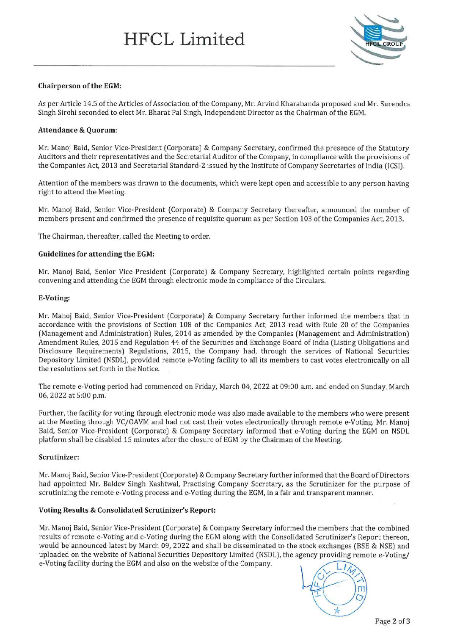

## **Chairperson of the EGM:**

As per Article 14.5 of the Articles of Association of the Company, Mr. Arvind Kharabanda proposed and Mr. Surendra Singh Sirohi seconded to elect Mr. Bharat Pal Singh, Independent Director as the Chairman of the EGM.

## **Attendance & Quorum:**

Mr. Manoj Said, Senior Vice-President (Corporate) & Company Secretary, confirmed the presence of the Statutory Auditors and their representatives and the Secretarial Auditor of the Company, in compliance with the provisions of the Companies Act, 2013 and Secretarial Standard-2 issued by the Institute of Company Secretaries of India (!CS!).

Attention of the members was drawn to the documents, which were kept open and accessible to any person having right to attend the Meeting.

Mr. Manoj Said, Senior Vice-President (Corporate) & Company Secretary thereafter, announced the number of members present and confirmed the presence of requisite quorum as per Section 103 of the Companies Act, 2013.

The Chairman, thereafter, called the Meeting to order.

# **Guidelines for attending the EGM:**

Mr. Manoj Baid, Senior Vice-President (Corporate) & Company Secretary, highlighted certain points regarding convening and attending the EGM through electronic mode in compliance of the Circulars.

# **E-Voting:**

Mr. Manoj Baid, Senior Vice-President (Corporate) & Company Secretary further informed the members that in accordance with the provisions of Section 108 of the Companies Act, 2013 read with Rule 20 of the Companies (Management and Administration) Rules, 2014 as amended by the Companies (Management and Administration) Amendment Rules, 2015 and Regulation 44 of the Securities and Exchange Board of India (Listing Obligations and Disclosure Requirements) Regulations, 2015, the Company had, through the services of National Securities Depository Limited (NSDL), provided remote e-Voting facility to all its members to cast votes electronically on all the resolutions set forth in the Notice.

The remote e-Voting period had commenced on Friday, March 04, 2022 at 09:00 a.m. and ended on Sunday, March 06, 2022 at 5:00 p.m.

Further, the facility for voting through electronic mode was also made available to the members who were present at the Meeting through VC/OAVM and had not cast their votes electronically through remote e-Voting. Mr. Manoj Said, Senior Vice-President (Corporate) & Company Secretary informed that e-Voting during the EGM on NSDL platform shall be disabled 15 minutes after the closure of EGM by the Chairman of the Meeting.

#### **Scrutinizer:**

Mr. Manoj Said, Senior Vice-President (Corporate) & Company Secretary further informed that the Board of Directors had appointed Mr. Baldev Singh Kashtwal, Practising Company Secretary, as the Scrutinizer for the purpose of scrutinizing the remote e-Voting process and e-Voting during the EGM, in a fair and transparent manner.

#### **Voting Results & Consolidated Scrutinizer's Report:**

Mr. Manoj Said, Senior Vice-President (Corporate) & Company Secretary informed the members that the combined results of remote e-Voting and e-Voting during the EGM along with the Consolidated Scrutinizer's Report thereon, would be announced latest by March 09, 2022 and shall be disseminated to the stock exchanges (BSE & NSE) and uploaded on the website of National Securities Depository Limited (NSDL), the agency providing remote e-Voting/ e-Voting facility during the EGM and also on the website of the Company.